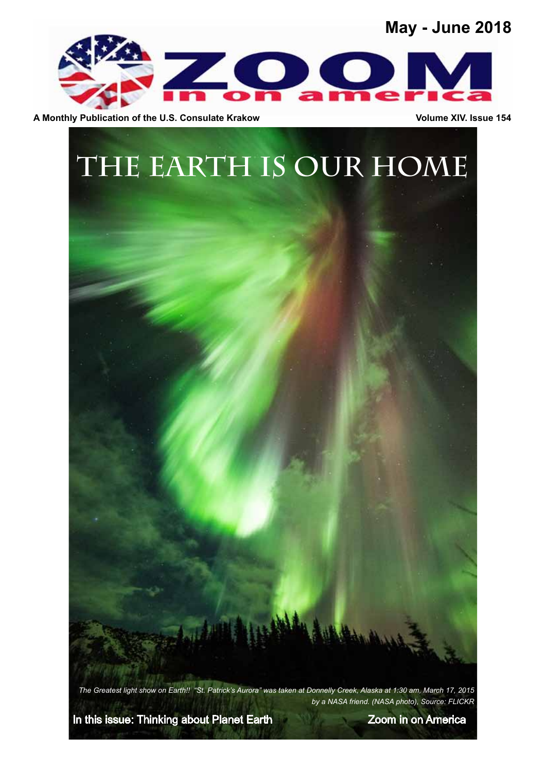## **May - June 2018**



A Monthly Publication of the U.S. Consulate Krakow **Volume XIV.** Issue 154



*The Greatest light show on Earth!! "St. Patrick's Aurora" was taken at Donnelly Creek, Alaska at 1:30 am, March 17, 2015 by a NASA friend. (NASA photo), Source: FLICKR*

In this issue: Thinking about Planet Earth Zoom in on America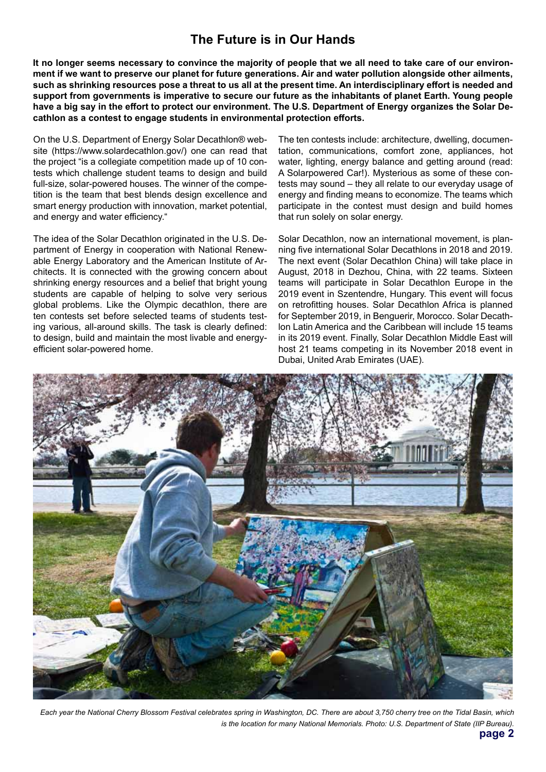## **The Future is in Our Hands**

**It no longer seems necessary to convince the majority of people that we all need to take care of our environment if we want to preserve our planet for future generations. Air and water pollution alongside other ailments, such as shrinking resources pose a threat to us all at the present time. An interdisciplinary effort is needed and support from governments is imperative to secure our future as the inhabitants of planet Earth. Young people have a big say in the effort to protect our environment. The U.S. Department of Energy organizes the Solar Decathlon as a contest to engage students in environmental protection efforts.**

On the U.S. Department of Energy Solar Decathlon® website (https://www.solardecathlon.gov/) one can read that the project "is a collegiate competition made up of 10 contests which challenge student teams to design and build full-size, solar-powered houses. The winner of the competition is the team that best blends design excellence and smart energy production with innovation, market potential, and energy and water efficiency."

The idea of the Solar Decathlon originated in the U.S. Department of Energy in cooperation with National Renewable Energy Laboratory and the American Institute of Architects. It is connected with the growing concern about shrinking energy resources and a belief that bright young students are capable of helping to solve very serious global problems. Like the Olympic decathlon, there are ten contests set before selected teams of students testing various, all-around skills. The task is clearly defined: to design, build and maintain the most livable and energyefficient solar-powered home.

The ten contests include: architecture, dwelling, documentation, communications, comfort zone, appliances, hot water, lighting, energy balance and getting around (read: A Solarpowered Car!). Mysterious as some of these contests may sound – they all relate to our everyday usage of energy and finding means to economize. The teams which participate in the contest must design and build homes that run solely on solar energy.

Solar Decathlon, now an international movement, is planning five international Solar Decathlons in 2018 and 2019. The next event (Solar Decathlon China) will take place in August, 2018 in Dezhou, China, with 22 teams. Sixteen teams will participate in Solar Decathlon Europe in the 2019 event in Szentendre, Hungary. This event will focus on retrofitting houses. Solar Decathlon Africa is planned for September 2019, in Benguerir, Morocco. Solar Decathlon Latin America and the Caribbean will include 15 teams in its 2019 event. Finally, Solar Decathlon Middle East will host 21 teams competing in its November 2018 event in Dubai, United Arab Emirates (UAE).



*Each year the National Cherry Blossom Festival celebrates spring in Washington, DC. There are about 3,750 cherry tree on the Tidal Basin, which is the location for many National Memorials. Photo: U.S. Department of State (IIP Bureau).*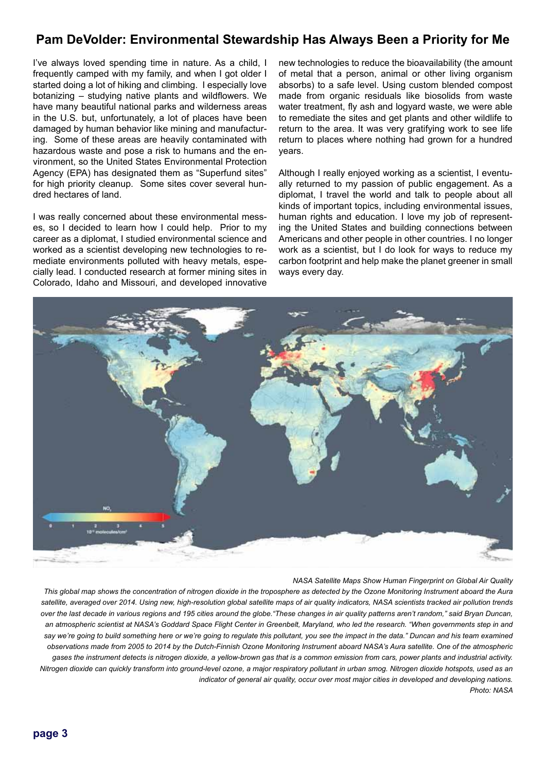### **Pam DeVolder: Environmental Stewardship Has Always Been a Priority for Me**

I've always loved spending time in nature. As a child, I frequently camped with my family, and when I got older I started doing a lot of hiking and climbing. I especially love botanizing – studying native plants and wildflowers. We have many beautiful national parks and wilderness areas in the U.S. but, unfortunately, a lot of places have been damaged by human behavior like mining and manufacturing. Some of these areas are heavily contaminated with hazardous waste and pose a risk to humans and the environment, so the United States Environmental Protection Agency (EPA) has designated them as "Superfund sites" for high priority cleanup. Some sites cover several hundred hectares of land.

I was really concerned about these environmental messes, so I decided to learn how I could help. Prior to my career as a diplomat, I studied environmental science and worked as a scientist developing new technologies to remediate environments polluted with heavy metals, especially lead. I conducted research at former mining sites in Colorado, Idaho and Missouri, and developed innovative

new technologies to reduce the bioavailability (the amount of metal that a person, animal or other living organism absorbs) to a safe level. Using custom blended compost made from organic residuals like biosolids from waste water treatment, fly ash and logyard waste, we were able to remediate the sites and get plants and other wildlife to return to the area. It was very gratifying work to see life return to places where nothing had grown for a hundred years.

Although I really enjoyed working as a scientist, I eventually returned to my passion of public engagement. As a diplomat, I travel the world and talk to people about all kinds of important topics, including environmental issues, human rights and education. I love my job of representing the United States and building connections between Americans and other people in other countries. I no longer work as a scientist, but I do look for ways to reduce my carbon footprint and help make the planet greener in small ways every day.



*NASA Satellite Maps Show Human Fingerprint on Global Air Quality*

*This global map shows the concentration of nitrogen dioxide in the troposphere as detected by the Ozone Monitoring Instrument aboard the Aura*  satellite, averaged over 2014. Using new, high-resolution global satellite maps of air quality indicators, NASA scientists tracked air pollution trends *over the last decade in various regions and 195 cities around the globe."These changes in air quality patterns aren't random," said Bryan Duncan,*  an atmospheric scientist at NASA's Goddard Space Flight Center in Greenbelt, Maryland, who led the research. "When governments step in and say we're going to build something here or we're going to regulate this pollutant, you see the impact in the data." Duncan and his team examined *observations made from 2005 to 2014 by the Dutch-Finnish Ozone Monitoring Instrument aboard NASA's Aura satellite. One of the atmospheric gases the instrument detects is nitrogen dioxide, a yellow-brown gas that is a common emission from cars, power plants and industrial activity. Nitrogen dioxide can quickly transform into ground-level ozone, a major respiratory pollutant in urban smog. Nitrogen dioxide hotspots, used as an indicator of general air quality, occur over most major cities in developed and developing nations. Photo: NASA*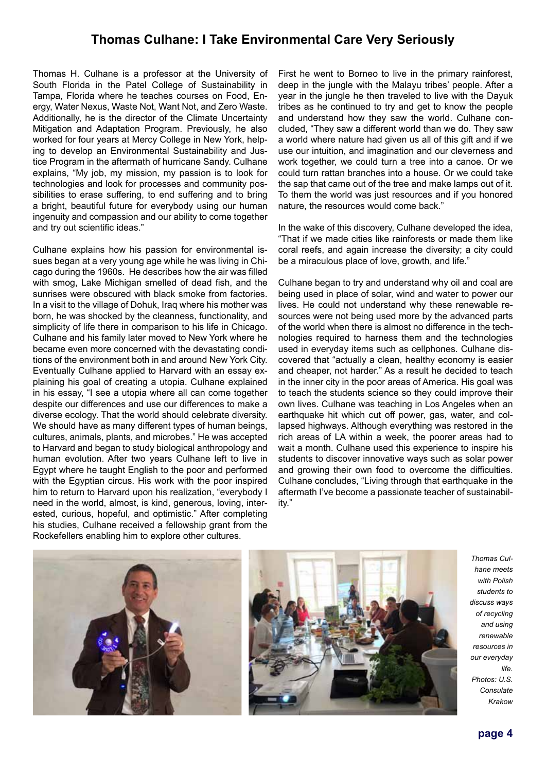#### **Thomas Culhane: I Take Environmental Care Very Seriously**

Thomas H. Culhane is a professor at the University of South Florida in the Patel College of Sustainability in Tampa, Florida where he teaches courses on Food, Energy, Water Nexus, Waste Not, Want Not, and Zero Waste. Additionally, he is the director of the Climate Uncertainty Mitigation and Adaptation Program. Previously, he also worked for four years at Mercy College in New York, helping to develop an Environmental Sustainability and Justice Program in the aftermath of hurricane Sandy. Culhane explains, "My job, my mission, my passion is to look for technologies and look for processes and community possibilities to erase suffering, to end suffering and to bring a bright, beautiful future for everybody using our human ingenuity and compassion and our ability to come together and try out scientific ideas."

Culhane explains how his passion for environmental issues began at a very young age while he was living in Chicago during the 1960s. He describes how the air was filled with smog, Lake Michigan smelled of dead fish, and the sunrises were obscured with black smoke from factories. In a visit to the village of Dohuk, Iraq where his mother was born, he was shocked by the cleanness, functionality, and simplicity of life there in comparison to his life in Chicago. Culhane and his family later moved to New York where he became even more concerned with the devastating conditions of the environment both in and around New York City. Eventually Culhane applied to Harvard with an essay explaining his goal of creating a utopia. Culhane explained in his essay, "I see a utopia where all can come together despite our differences and use our differences to make a diverse ecology. That the world should celebrate diversity. We should have as many different types of human beings, cultures, animals, plants, and microbes." He was accepted to Harvard and began to study biological anthropology and human evolution. After two years Culhane left to live in Egypt where he taught English to the poor and performed with the Egyptian circus. His work with the poor inspired him to return to Harvard upon his realization, "everybody I need in the world, almost, is kind, generous, loving, interested, curious, hopeful, and optimistic." After completing his studies, Culhane received a fellowship grant from the Rockefellers enabling him to explore other cultures.

First he went to Borneo to live in the primary rainforest, deep in the jungle with the Malayu tribes' people. After a year in the jungle he then traveled to live with the Dayuk tribes as he continued to try and get to know the people and understand how they saw the world. Culhane concluded, "They saw a different world than we do. They saw a world where nature had given us all of this gift and if we use our intuition, and imagination and our cleverness and work together, we could turn a tree into a canoe. Or we could turn rattan branches into a house. Or we could take the sap that came out of the tree and make lamps out of it. To them the world was just resources and if you honored nature, the resources would come back."

In the wake of this discovery, Culhane developed the idea, "That if we made cities like rainforests or made them like coral reefs, and again increase the diversity; a city could be a miraculous place of love, growth, and life."

Culhane began to try and understand why oil and coal are being used in place of solar, wind and water to power our lives. He could not understand why these renewable resources were not being used more by the advanced parts of the world when there is almost no difference in the technologies required to harness them and the technologies used in everyday items such as cellphones. Culhane discovered that "actually a clean, healthy economy is easier and cheaper, not harder." As a result he decided to teach in the inner city in the poor areas of America. His goal was to teach the students science so they could improve their own lives. Culhane was teaching in Los Angeles when an earthquake hit which cut off power, gas, water, and collapsed highways. Although everything was restored in the rich areas of LA within a week, the poorer areas had to wait a month. Culhane used this experience to inspire his students to discover innovative ways such as solar power and growing their own food to overcome the difficulties. Culhane concludes, "Living through that earthquake in the aftermath I've become a passionate teacher of sustainability."





*Thomas Culhane meets with Polish students to discuss ways of recycling and using renewable resources in our everyday life. Photos: U.S. Consulate Krakow*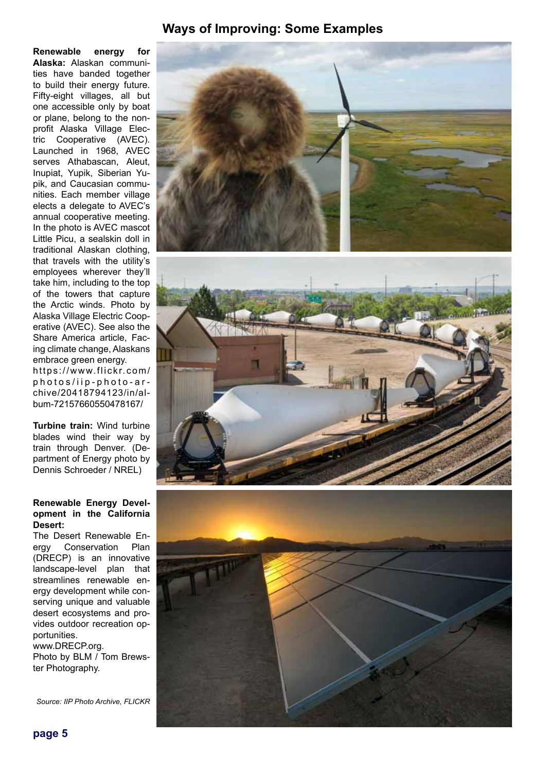#### **Ways of Improving: Some Examples**

**Renewable energy for Alaska:** Alaskan communities have banded together to build their energy future. Fifty-eight villages, all but one accessible only by boat or plane, belong to the nonprofit Alaska Village Electric Cooperative (AVEC). Launched in 1968, AVEC serves Athabascan, Aleut, Inupiat, Yupik, Siberian Yupik, and Caucasian communities. Each member village elects a delegate to AVEC's annual cooperative meeting. In the photo is AVEC mascot Little Picu, a sealskin doll in traditional Alaskan clothing, that travels with the utility's employees wherever they'll take him, including to the top of the towers that capture the Arctic winds. Photo by Alaska Village Electric Cooperative (AVEC). See also the Share America article, Facing climate change, Alaskans embrace green energy. https://www.flickr.com/ photos/iip-photo-ar chive/20418794123/in/album-72157660550478167/

**Turbine train:** Wind turbine blades wind their way by train through Denver. (Department of Energy photo by Dennis Schroeder / NREL)

#### **Renewable Energy Development in the California Desert:**

The Desert Renewable Energy Conservation Plan (DRECP) is an innovative landscape-level plan that streamlines renewable energy development while conserving unique and valuable desert ecosystems and provides outdoor recreation opportunities.

www.DRECP.org. Photo by BLM / Tom Brewster Photography.

*Source: IIP Photo Archive, FLICKR*

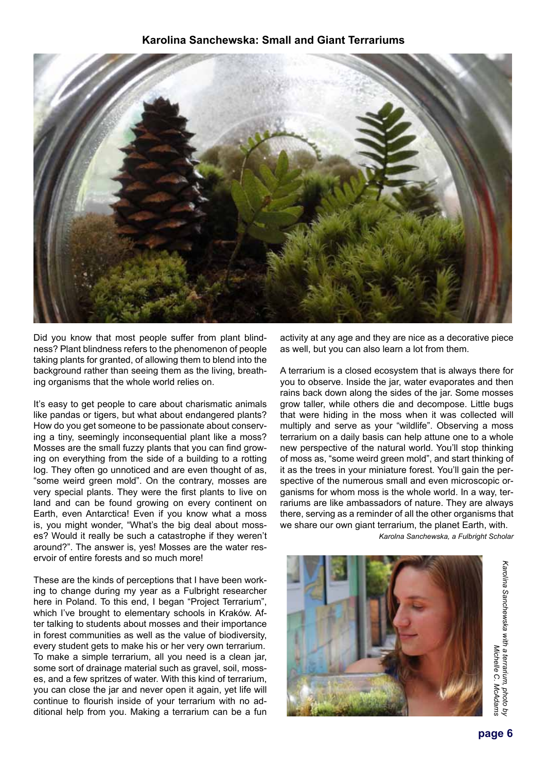#### **Karolina Sanchewska: Small and Giant Terrariums**



Did you know that most people suffer from plant blindness? Plant blindness refers to the phenomenon of people taking plants for granted, of allowing them to blend into the background rather than seeing them as the living, breathing organisms that the whole world relies on.

It's easy to get people to care about charismatic animals like pandas or tigers, but what about endangered plants? How do you get someone to be passionate about conserving a tiny, seemingly inconsequential plant like a moss? Mosses are the small fuzzy plants that you can find growing on everything from the side of a building to a rotting log. They often go unnoticed and are even thought of as, "some weird green mold". On the contrary, mosses are very special plants. They were the first plants to live on land and can be found growing on every continent on Earth, even Antarctica! Even if you know what a moss is, you might wonder, "What's the big deal about mosses? Would it really be such a catastrophe if they weren't around?". The answer is, yes! Mosses are the water reservoir of entire forests and so much more!

These are the kinds of perceptions that I have been working to change during my year as a Fulbright researcher here in Poland. To this end, I began "Project Terrarium". which I've brought to elementary schools in Kraków. After talking to students about mosses and their importance in forest communities as well as the value of biodiversity, every student gets to make his or her very own terrarium. To make a simple terrarium, all you need is a clean jar, some sort of drainage material such as gravel, soil, mosses, and a few spritzes of water. With this kind of terrarium, you can close the jar and never open it again, yet life will continue to flourish inside of your terrarium with no additional help from you. Making a terrarium can be a fun

activity at any age and they are nice as a decorative piece as well, but you can also learn a lot from them.

A terrarium is a closed ecosystem that is always there for you to observe. Inside the jar, water evaporates and then rains back down along the sides of the jar. Some mosses grow taller, while others die and decompose. Little bugs that were hiding in the moss when it was collected will multiply and serve as your "wildlife". Observing a moss terrarium on a daily basis can help attune one to a whole new perspective of the natural world. You'll stop thinking of moss as, "some weird green mold", and start thinking of it as the trees in your miniature forest. You'll gain the perspective of the numerous small and even microscopic organisms for whom moss is the whole world. In a way, terrariums are like ambassadors of nature. They are always there, serving as a reminder of all the other organisms that we share our own giant terrarium, the planet Earth, with.

*Karolna Sanchewska, a Fulbright Scholar*



Karolina Sanchewska with a terrarium, photo by *Karolina Sanchewska with a terrarium, photo by*  Michelle C. McAdams *Michelle C. McAdams*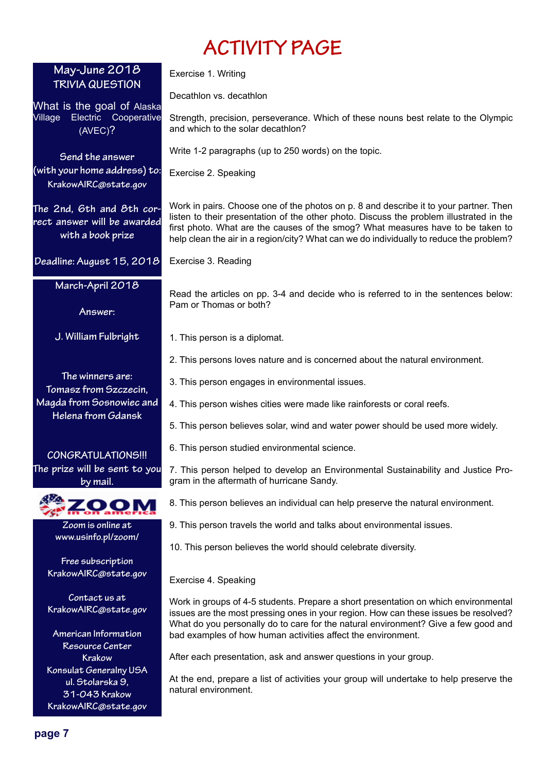# **ACTIVITY PAGE**

| May-June 2018<br><b>TRIVIA QUESTION</b>                                             | Exercise 1. Writing                                                                                                                                                                                                                                                                                                                                            |
|-------------------------------------------------------------------------------------|----------------------------------------------------------------------------------------------------------------------------------------------------------------------------------------------------------------------------------------------------------------------------------------------------------------------------------------------------------------|
|                                                                                     | Decathlon vs. decathlon                                                                                                                                                                                                                                                                                                                                        |
| What is the goal of Alaska<br>Electric Cooperative<br>Village<br>(AVEC)?            | Strength, precision, perseverance. Which of these nouns best relate to the Olympic<br>and which to the solar decathlon?                                                                                                                                                                                                                                        |
| Send the answer<br>(with your home address) to:<br>KrakowAIRC@state.gov             | Write 1-2 paragraphs (up to 250 words) on the topic.                                                                                                                                                                                                                                                                                                           |
|                                                                                     | Exercise 2. Speaking                                                                                                                                                                                                                                                                                                                                           |
| The 2nd, 6th and 8th cor-<br>rect answer will be awarded<br>with a book prize       | Work in pairs. Choose one of the photos on p. 8 and describe it to your partner. Then<br>listen to their presentation of the other photo. Discuss the problem illustrated in the<br>first photo. What are the causes of the smog? What measures have to be taken to<br>help clean the air in a region/city? What can we do individually to reduce the problem? |
| Deadline: August 15, 2018                                                           | Exercise 3. Reading                                                                                                                                                                                                                                                                                                                                            |
| March-April 2018                                                                    | Read the articles on pp. 3-4 and decide who is referred to in the sentences below:                                                                                                                                                                                                                                                                             |
| Answer:                                                                             | Pam or Thomas or both?                                                                                                                                                                                                                                                                                                                                         |
| J. William Fulbright                                                                | 1. This person is a diplomat.                                                                                                                                                                                                                                                                                                                                  |
|                                                                                     | 2. This persons loves nature and is concerned about the natural environment.                                                                                                                                                                                                                                                                                   |
| The winners are:<br>Tomasz from Szczecin,                                           | 3. This person engages in environmental issues.                                                                                                                                                                                                                                                                                                                |
| Magda from Sosnowiec and                                                            | 4. This person wishes cities were made like rainforests or coral reefs.                                                                                                                                                                                                                                                                                        |
| Helena from Gdansk                                                                  | 5. This person believes solar, wind and water power should be used more widely.                                                                                                                                                                                                                                                                                |
| CONGRATULATIONS!!!                                                                  | 6. This person studied environmental science.                                                                                                                                                                                                                                                                                                                  |
| The prize will be sent to you<br>by mail.                                           | 7. This person helped to develop an Environmental Sustainability and Justice Pro-<br>gram in the aftermath of hurricane Sandy.                                                                                                                                                                                                                                 |
|                                                                                     | 8. This person believes an individual can help preserve the natural environment.                                                                                                                                                                                                                                                                               |
| Zoom is online at                                                                   | 9. This person travels the world and talks about environmental issues.                                                                                                                                                                                                                                                                                         |
| www.usinfo.pl/zoom/                                                                 | 10. This person believes the world should celebrate diversity.                                                                                                                                                                                                                                                                                                 |
| Free subscription<br>KrakowAIRC@state.gov                                           | Exercise 4. Speaking                                                                                                                                                                                                                                                                                                                                           |
| Contact us at<br>KrakowAIRC@state.gov                                               | Work in groups of 4-5 students. Prepare a short presentation on which environmental<br>issues are the most pressing ones in your region. How can these issues be resolved?                                                                                                                                                                                     |
| American Information<br>Resource Center                                             | What do you personally do to care for the natural environment? Give a few good and<br>bad examples of how human activities affect the environment.                                                                                                                                                                                                             |
| <b>Krakow</b>                                                                       | After each presentation, ask and answer questions in your group.                                                                                                                                                                                                                                                                                               |
| Konsulat Generalny USA<br>ul. Stolarska 9,<br>31-043 Krakow<br>KrakowAIRC@state.gov | At the end, prepare a list of activities your group will undertake to help preserve the<br>natural environment.                                                                                                                                                                                                                                                |
|                                                                                     |                                                                                                                                                                                                                                                                                                                                                                |